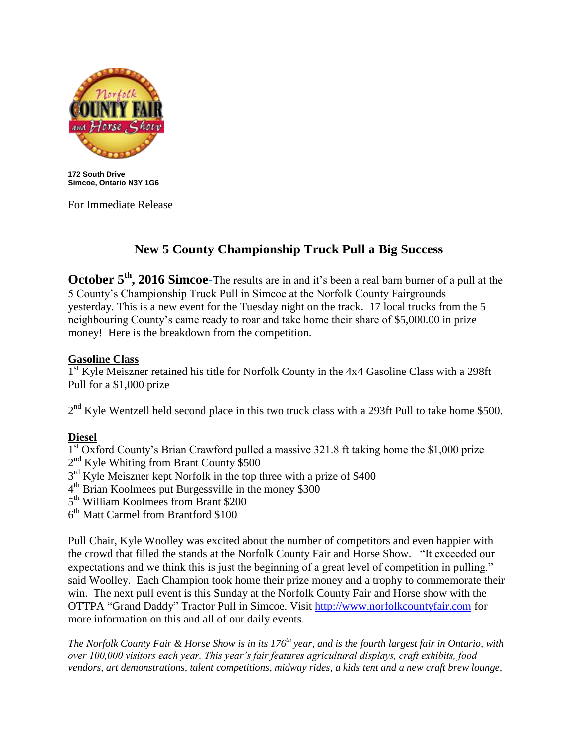

**172 South Drive Simcoe, Ontario N3Y 1G6**

For Immediate Release

## **New 5 County Championship Truck Pull a Big Success**

**October 5<sup>th</sup>, 2016 Simcoe-**The results are in and it's been a real barn burner of a pull at the 5 County's Championship Truck Pull in Simcoe at the Norfolk County Fairgrounds yesterday. This is a new event for the Tuesday night on the track. 17 local trucks from the 5 neighbouring County's came ready to roar and take home their share of \$5,000.00 in prize money! Here is the breakdown from the competition.

## **Gasoline Class**

1<sup>st</sup> Kyle Meiszner retained his title for Norfolk County in the 4x4 Gasoline Class with a 298ft Pull for a \$1,000 prize

 $2<sup>nd</sup>$  Kyle Wentzell held second place in this two truck class with a 293ft Pull to take home \$500.

## **Diesel**

<sup>1st</sup> Oxford County's Brian Crawford pulled a massive 321.8 ft taking home the \$1,000 prize 2<sup>nd</sup> Kyle Whiting from Brant County \$500

3<sup>rd</sup> Kyle Meiszner kept Norfolk in the top three with a prize of \$400

4 th Brian Koolmees put Burgessville in the money \$300

5<sup>th</sup> William Koolmees from Brant \$200

 $6<sup>th</sup>$  Matt Carmel from Brantford \$100

Pull Chair, Kyle Woolley was excited about the number of competitors and even happier with the crowd that filled the stands at the Norfolk County Fair and Horse Show. "It exceeded our expectations and we think this is just the beginning of a great level of competition in pulling." said Woolley. Each Champion took home their prize money and a trophy to commemorate their win. The next pull event is this Sunday at the Norfolk County Fair and Horse show with the OTTPA "Grand Daddy" Tractor Pull in Simcoe. Visit [http://www.norfolkcountyfair.com](http://www.norfolkcountyfair.com/) for more information on this and all of our daily events.

*The Norfolk County Fair & Horse Show is in its 176th year, and is the fourth largest fair in Ontario, with over 100,000 visitors each year. This year's fair features agricultural displays, craft exhibits, food vendors, art demonstrations, talent competitions, midway rides, a kids tent and a new craft brew lounge,*